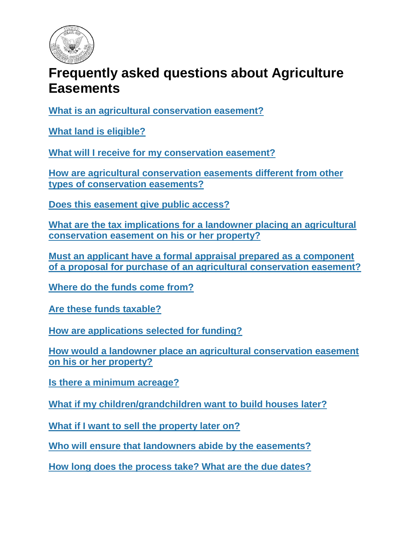

# **Frequently asked questions about Agriculture Easements**

**[What is an agricultural conservation easement?](#page-1-0)**

**[What land is eligible?](#page-1-1)**

**[What will I receive for my conservation easement?](#page-1-2)**

**[How are agricultural conservation easements different from other](#page-1-3)  [types of conservation easements?](#page-1-3)**

**[Does this easement give public access?](#page-1-4)**

**[What are the tax implications for a landowner placing an agricultural](#page-2-0)  [conservation easement on his or her property?](#page-2-0)**

**[Must an applicant have a formal appraisal prepared as a component](#page-2-1)  [of a proposal for purchase of an agricultural conservation easement?](#page-2-1)**

**[Where do the funds come from?](#page-2-2)**

**[Are these funds taxable?](#page-2-3)**

**[How are applications selected for funding?](#page-2-4)**

**[How would a landowner place an agricultural conservation easement](#page-3-0)  [on his or her property?](#page-3-0)**

**[Is there a minimum acreage?](#page-3-1)**

**[What if my children/grandchildren want to build houses later?](#page-3-2)**

**[What if I want to sell the property later on?](#page-3-3)**

**[Who will ensure that landowners abide by the easements?](#page-3-4)**

**[How long does the process take? What are the due dates?](#page-3-5)**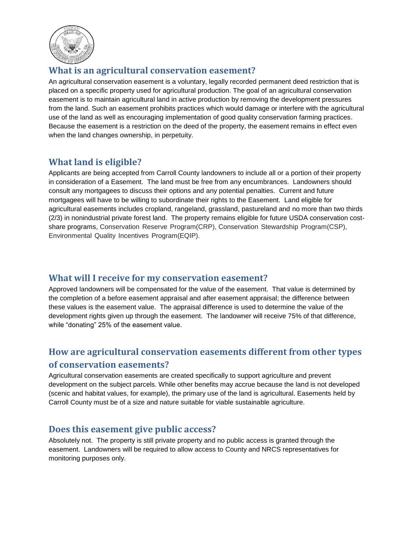

#### <span id="page-1-0"></span>**What is an agricultural conservation easement?**

An agricultural conservation easement is a voluntary, legally recorded permanent deed restriction that is placed on a specific property used for agricultural production. The goal of an agricultural conservation easement is to maintain agricultural land in active production by removing the development pressures from the land. Such an easement prohibits practices which would damage or interfere with the agricultural use of the land as well as encouraging implementation of good quality conservation farming practices. Because the easement is a restriction on the deed of the property, the easement remains in effect even when the land changes ownership, in perpetuity.

#### <span id="page-1-1"></span>**What land is eligible?**

Applicants are being accepted from Carroll County landowners to include all or a portion of their property in consideration of a Easement. The land must be free from any encumbrances. Landowners should consult any mortgagees to discuss their options and any potential penalties. Current and future mortgagees will have to be willing to subordinate their rights to the Easement. Land eligible for agricultural easements includes cropland, rangeland, grassland, pastureland and no more than two thirds (2/3) in nonindustrial private forest land. The property remains eligible for future USDA conservation costshare programs, Conservation Reserve Program(CRP), Conservation Stewardship Program(CSP), Environmental Quality Incentives Program(EQIP).

#### <span id="page-1-2"></span>**What will I receive for my conservation easement?**

Approved landowners will be compensated for the value of the easement. That value is determined by the completion of a before easement appraisal and after easement appraisal; the difference between these values is the easement value. The appraisal difference is used to determine the value of the development rights given up through the easement. The landowner will receive 75% of that difference, while "donating" 25% of the easement value.

### <span id="page-1-3"></span>**How are agricultural conservation easements different from other types of conservation easements?**

Agricultural conservation easements are created specifically to support agriculture and prevent development on the subject parcels. While other benefits may accrue because the land is not developed (scenic and habitat values, for example), the primary use of the land is agricultural. Easements held by Carroll County must be of a size and nature suitable for viable sustainable agriculture.

#### <span id="page-1-4"></span>**Does this easement give public access?**

Absolutely not. The property is still private property and no public access is granted through the easement. Landowners will be required to allow access to County and NRCS representatives for monitoring purposes only.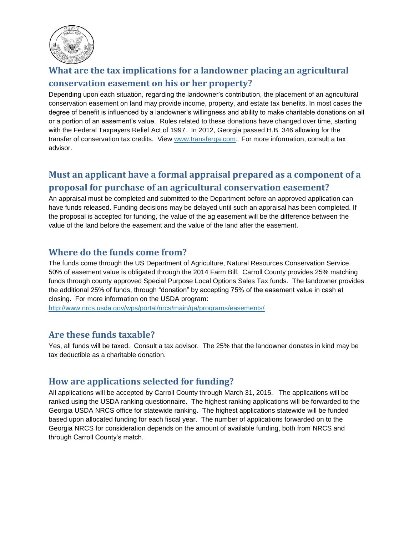

## <span id="page-2-0"></span>**What are the tax implications for a landowner placing an agricultural conservation easement on his or her property?**

Depending upon each situation, regarding the landowner's contribution, the placement of an agricultural conservation easement on land may provide income, property, and estate tax benefits. In most cases the degree of benefit is influenced by a landowner's willingness and ability to make charitable donations on all or a portion of an easement's value. Rules related to these donations have changed over time, starting with the Federal Taxpayers Relief Act of 1997. In 2012, Georgia passed H.B. 346 allowing for the transfer of conservation tax credits. View [www.transferga.com.](http://www.transferga.com/) For more information, consult a tax advisor.

## <span id="page-2-1"></span>**Must an applicant have a formal appraisal prepared as a component of a proposal for purchase of an agricultural conservation easement?**

An appraisal must be completed and submitted to the Department before an approved application can have funds released. Funding decisions may be delayed until such an appraisal has been completed. If the proposal is accepted for funding, the value of the ag easement will be the difference between the value of the land before the easement and the value of the land after the easement.

#### <span id="page-2-2"></span>**Where do the funds come from?**

The funds come through the US Department of Agriculture, Natural Resources Conservation Service. 50% of easement value is obligated through the 2014 Farm Bill. Carroll County provides 25% matching funds through county approved Special Purpose Local Options Sales Tax funds. The landowner provides the additional 25% of funds, through "donation" by accepting 75% of the easement value in cash at closing. For more information on the USDA program:

<http://www.nrcs.usda.gov/wps/portal/nrcs/main/ga/programs/easements/>

#### <span id="page-2-3"></span>**Are these funds taxable?**

Yes, all funds will be taxed. Consult a tax advisor. The 25% that the landowner donates in kind may be tax deductible as a charitable donation.

#### <span id="page-2-4"></span>**How are applications selected for funding?**

All applications will be accepted by Carroll County through March 31, 2015. The applications will be ranked using the USDA ranking questionnaire. The highest ranking applications will be forwarded to the Georgia USDA NRCS office for statewide ranking. The highest applications statewide will be funded based upon allocated funding for each fiscal year. The number of applications forwarded on to the Georgia NRCS for consideration depends on the amount of available funding, both from NRCS and through Carroll County's match.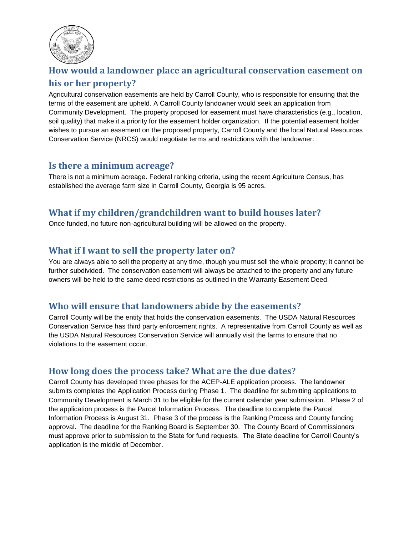

## <span id="page-3-0"></span>**How would a landowner place an agricultural conservation easement on**

#### **his or her property?**

Agricultural conservation easements are held by Carroll County, who is responsible for ensuring that the terms of the easement are upheld. A Carroll County landowner would seek an application from Community Development. The property proposed for easement must have characteristics (e.g., location, soil quality) that make it a priority for the easement holder organization. If the potential easement holder wishes to pursue an easement on the proposed property, Carroll County and the local Natural Resources Conservation Service (NRCS) would negotiate terms and restrictions with the landowner.

#### <span id="page-3-1"></span>**Is there a minimum acreage?**

There is not a minimum acreage. Federal ranking criteria, using the recent Agriculture Census, has established the average farm size in Carroll County, Georgia is 95 acres.

#### <span id="page-3-2"></span>**What if my children/grandchildren want to build houses later?**

Once funded, no future non-agricultural building will be allowed on the property.

#### <span id="page-3-3"></span>**What if I want to sell the property later on?**

You are always able to sell the property at any time, though you must sell the whole property; it cannot be further subdivided. The conservation easement will always be attached to the property and any future owners will be held to the same deed restrictions as outlined in the Warranty Easement Deed.

#### <span id="page-3-4"></span>**Who will ensure that landowners abide by the easements?**

Carroll County will be the entity that holds the conservation easements. The USDA Natural Resources Conservation Service has third party enforcement rights. A representative from Carroll County as well as the USDA Natural Resources Conservation Service will annually visit the farms to ensure that no violations to the easement occur.

#### <span id="page-3-5"></span>**How long does the process take? What are the due dates?**

Carroll County has developed three phases for the ACEP-ALE application process. The landowner submits completes the Application Process during Phase 1. The deadline for submitting applications to Community Development is March 31 to be eligible for the current calendar year submission. Phase 2 of the application process is the Parcel Information Process. The deadline to complete the Parcel Information Process is August 31. Phase 3 of the process is the Ranking Process and County funding approval. The deadline for the Ranking Board is September 30. The County Board of Commissioners must approve prior to submission to the State for fund requests. The State deadline for Carroll County's application is the middle of December.